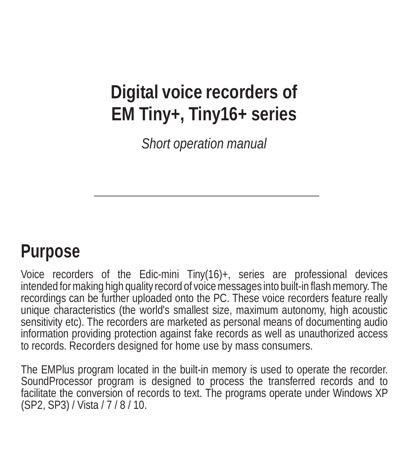## **Digital voice recorders of EM Tiny+, Tiny16+ series**

*Short operation manual*

## **Purpose**

Voice recorders of the Edic-mini Tiny(16)+, series are professional devices intended for making high quality record of voice messages into built-in flash memory. The recordings can be further uploaded onto the PC. These voice recorders feature really unique characteristics (the world's smallest size, maximum autonomy, high acoustic sensitivity etc). The recorders are marketed as personal means of documenting audio information providing protection against fake records as well as unauthorized access to records. Recorders designed for home use by mass consumers.

The EMPlus program located in the built-in memory is used to operate the recorder. SoundProcessor program is designed to process the transferred records and to facilitate the conversion of records to text. The programs operate under Windows XP (SP2, SP3) / Vista / 7 / 8 / 10.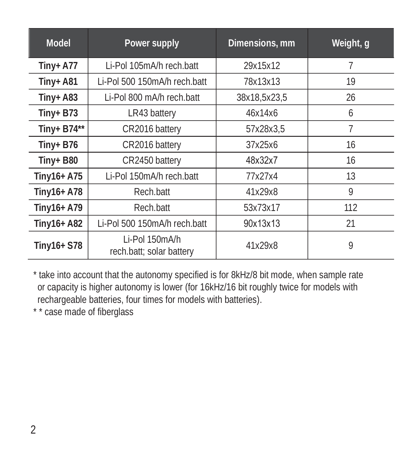| <b>Model</b> | Power supply                               | Dimensions, mm | Weight, g |
|--------------|--------------------------------------------|----------------|-----------|
| Tiny+ $A77$  | Li-Pol 105mA/h rech.batt                   | 29x15x12       | 7         |
| Tiny+ $A81$  | Li-Pol 500 150mA/h rech.batt               | 78x13x13       | 19        |
| $Tiny+ A83$  | Li-Pol 800 mA/h rech.batt                  | 38x18,5x23,5   | 26        |
| $Tiny + B73$ | LR43 battery                               | 46x14x6        | 6         |
| Tiny+ B74**  | CR2016 battery                             | 57x28x3.5      | 7         |
| $Tiny + B76$ | CR2016 battery                             | 37x25x6        | 16        |
| Tiny+ $B80$  | CR2450 battery                             | 48x32x7        | 16        |
| Tiny16+ A75  | Li-Pol 150mA/h rech.batt                   | 77x27x4        | 13        |
| Tiny16+ A78  | Rech.batt                                  | 41x29x8        | 9         |
| Tiny16+ A79  | Rech.batt                                  | 53x73x17       | 112       |
| Tiny16+ A82  | Li-Pol 500 150mA/h rech.batt               | 90x13x13       | 21        |
| Tiny16+ S78  | Li-Pol 150mA/h<br>rech.batt; solar battery | 41x29x8        | 9         |

\* take into account that the autonomy specified is for 8kHz/8 bit mode, when sample rate or capacity is higher autonomy is lower (for 16kHz/16 bit roughly twice for models with rechargeable batteries, four times for models with batteries).

\* \* case made of fiberglass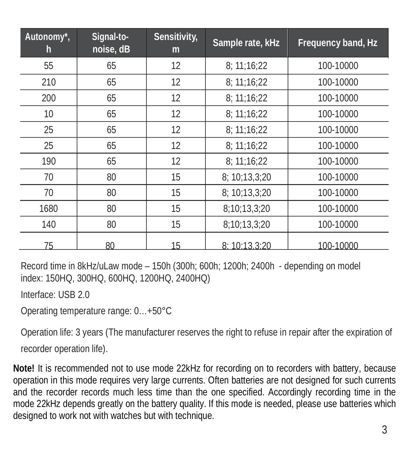| Autonomy*,<br>h | Signal-to-<br>noise, dB | Sensitivity,<br>m | Sample rate, kHz | Frequency band, Hz |
|-----------------|-------------------------|-------------------|------------------|--------------------|
| 55              | 65                      | 12                | 8: 11:16:22      | 100-10000          |
| 210             | 65                      | 12                | 8: 11:16:22      | 100-10000          |
| 200             | 65                      | 12                | 8: 11:16:22      | 100-10000          |
| 10              | 65                      | 12                | 8:11:16:22       | 100-10000          |
| 25              | 65                      | 12                | 8:11:16:22       | 100-10000          |
| 25              | 65                      | 12                | 8:11:16:22       | 100-10000          |
| 190             | 65                      | 12                | 8: 11:16:22      | 100-10000          |
| 70              | 80                      | 15                | 8: 10:13,3:20    | 100-10000          |
| 70              | 80                      | 15                | 8: 10:13.3:20    | 100-10000          |
| 1680            | 80                      | 15                | 8:10:13,3:20     | 100-10000          |
| 140             | 80                      | 15                | 8:10:13,3:20     | 100-10000          |
| 75              | 80                      | 15                | 8: 10:13.3:20    | 100-10000          |

Record time in 8kHz/uLaw mode – 150h (300h; 600h; 1200h; 2400h - depending on model index: 150HQ, 300HQ, 600HQ, 1200HQ, 2400HQ)

Interface: USB 2.0

Operating temperature range: 0…+50°C

Operation life: 3 years (The manufacturer reserves the right to refuse in repair after the expiration of recorder operation life).

**Note!** It is recommended not to use mode 22kHz for recording on to recorders with battery, because operation in this mode requires very large currents. Often batteries are not designed for such currents and the recorder records much less time than the one specified. Accordingly recording time in the mode 22kHz depends greatly on the battery quality. If this mode is needed, please use batteries which designed to work not with watches but with technique.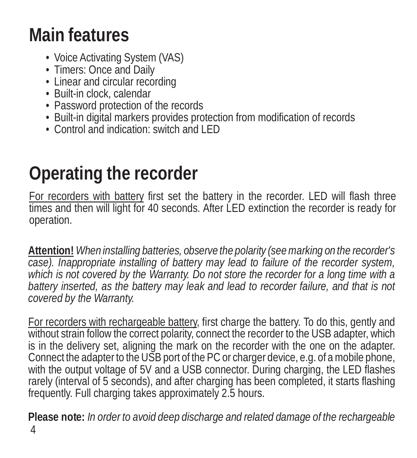## **Main features**

- Voice Activating System (VAS)
- Timers: Once and Daily
- Linear and circular recording<br>• Built-in clock, calendar
- 
- Password protection of the records
- Built-in digital markers provides protection from modification of records
- Control and indication: switch and LED

## **Operating the recorder**

For recorders with battery first set the battery in the recorder. LED will flash three times and then will light for 40 seconds. After LED extinction the recorder is ready for operation.

**Attention!** *When installing batteries, observe the polarity (seemarking on the recorder's case). Inappropriate installing of battery may lead to failure of the recorder system, which is not covered by the Warranty. Do not store the recorder for a long time with a battery inserted, as the battery may leak and lead to recorder failure, and that is not covered by the Warranty.*

For recorders with rechargeable battery, first charge the battery. To do this, gently and without strain follow the correct polarity, connect the recorder to the USB adapter, which is in the delivery set, aligning the mark on the recorder with the one on the adapter. Connect the adapter to the USB port of the PC or charger device, e.g. of a mobile phone, with the output voltage of 5V and a USB connector. During charging, the LED flashes rarely (interval of 5 seconds), and after charging has been completed, it starts flashing frequently. Full charging takes approximately 2.5 hours.

**Please note:** *In order to avoid deep discharge and related damage of the rechargeable*  4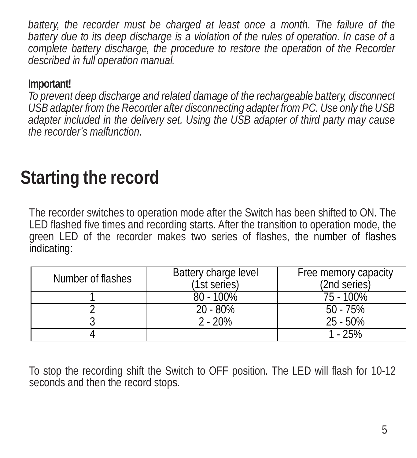*battery, the recorder must be charged at least once a month. The failure of the battery due to its deep discharge is a violation of the rules of operation. In case of a complete battery discharge, the procedure to restore the operation of the Recorder described in full operation manual.*

#### **Important!**

*To prevent deep discharge and related damage of the rechargeable battery, disconnect USB adapter from the Recorder after disconnecting adapter fromPC. Use only the USB adapter included in the delivery set. Using the USB adapter of third party may cause the recorder's malfunction.*

## **Starting the record**

The recorder switches to operation mode after the Switch has been shifted to ON. The LED flashed five times and recording starts. After the transition to operation mode, the green LED of the recorder makes two series of flashes, the number of flashes indicating:

| Number of flashes | Battery charge level<br>(1st series) | Free memory capacity<br>(2nd series) |
|-------------------|--------------------------------------|--------------------------------------|
|                   | $80 - 100\%$                         | 75 - 100%                            |
|                   | $20 - 80%$                           | $50 - 75%$                           |
|                   | $2 - 20%$                            | $25 - 50\%$                          |
|                   |                                      | $-25%$                               |

To stop the recording shift the Switch to OFF position. The LED will flash for 10-12 seconds and then the record stops.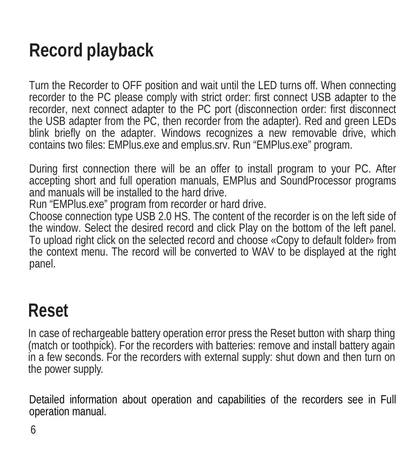# **Record playback**

Turn the Recorder to OFF position and wait until the LED turns off. When connecting recorder to the PC please comply with strict order: first connect USB adapter to the recorder, next connect adapter to the PC port (disconnection order: first disconnect the USB adapter from the PC, then recorder from the adapter). Red and green LEDs blink briefly on the adapter. Windows recognizes a new removable drive, which contains two files: EMPlus.exe and emplus.srv. Run "EMPlus.exe" program.

During first connection there will be an offer to install program to your PC. After accepting short and full operation manuals, EMPlus and SoundProcessor programs and manuals will be installed to the hard drive.

Run "EMPlus.exe" program from recorder or hard drive.

Choose connection type USB 2.0 HS. The content of the recorder is on the left side of the window. Select the desired record and click Play on the bottom of the left panel. To upload right click on the selected record and choose «Copy to default folder» from the context menu. The record will be converted to WAV to be displayed at the right panel.

### **Reset**

In case of rechargeable battery operation error press the Reset button with sharp thing (match or toothpick). For the recorders with batteries: remove and install battery again in a few seconds. For the recorders with external supply: shut down and then turn on the power supply.

Detailed information about operation and capabilities of the recorders see in Full operation manual.